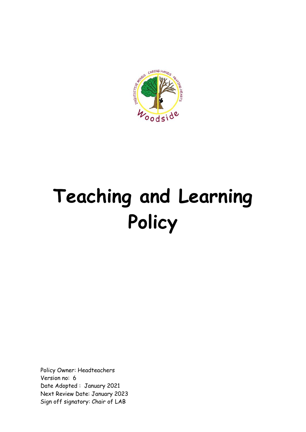

# **Teaching and Learning Policy**

Policy Owner: Headteachers Version no: 6 Date Adopted : January 2021 Next Review Date: January 2023 Sign off signatory: Chair of LAB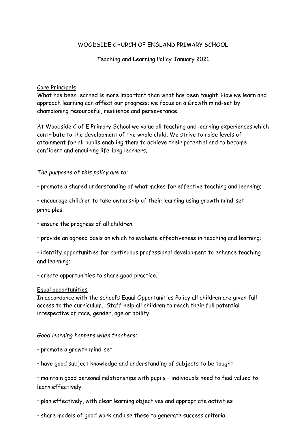## WOODSIDE CHURCH OF ENGLAND PRIMARY SCHOOL

## Teaching and Learning Policy January 2021

## Core Principals

What has been learned is more important than what has been taught. How we learn and approach learning can affect our progress; we focus on a Growth mind-set by championing resourceful, resilience and perseverance.

At Woodside C of E Primary School we value all teaching and learning experiences which contribute to the development of the whole child. We strive to raise levels of attainment for all pupils enabling them to achieve their potential and to become confident and enquiring life-long learners.

## *The purposes of this policy are to:*

• promote a shared understanding of what makes for effective teaching and learning;

• encourage children to take ownership of their learning using growth mind-set principles;

- ensure the progress of all children;
- provide an agreed basis on which to evaluate effectiveness in teaching and learning;
- identify opportunities for continuous professional development to enhance teaching and learning;
- create opportunities to share good practice.

## Equal opportunities

In accordance with the school's Equal Opportunities Policy all children are given full access to the curriculum. Staff help all children to reach their full potential irrespective of race, gender, age or ability.

## *Good learning happens when teachers:*

- promote a growth mind-set
- have good subject knowledge and understanding of subjects to be taught

• maintain good personal relationships with pupils – individuals need to feel valued to learn effectively

- plan effectively, with clear learning objectives and appropriate activities
- share models of good work and use these to generate success criteria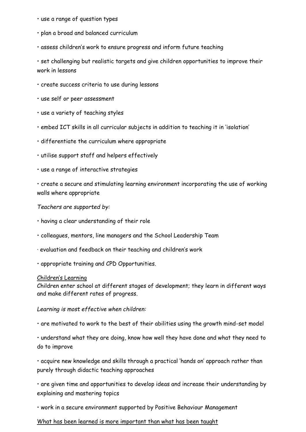- use a range of question types
- plan a broad and balanced curriculum
- assess children's work to ensure progress and inform future teaching

• set challenging but realistic targets and give children opportunities to improve their work in lessons

- create success criteria to use during lessons
- use self or peer assessment
- use a variety of teaching styles
- embed ICT skills in all curricular subjects in addition to teaching it in 'isolation'
- differentiate the curriculum where appropriate
- utilise support staff and helpers effectively
- use a range of interactive strategies
- create a secure and stimulating learning environment incorporating the use of working walls where appropriate

*Teachers are supported by:* 

- having a clear understanding of their role
- colleagues, mentors, line managers and the School Leadership Team
- · evaluation and feedback on their teaching and children's work
- appropriate training and CPD Opportunities.

#### Children's Learning

Children enter school at different stages of development; they learn in different ways and make different rates of progress.

*Learning is most effective when children:* 

• are motivated to work to the best of their abilities using the growth mind-set model

• understand what they are doing, know how well they have done and what they need to do to improve

• acquire new knowledge and skills through a practical 'hands on' approach rather than purely through didactic teaching approaches

• are given time and opportunities to develop ideas and increase their understanding by explaining and mastering topics

• work in a secure environment supported by Positive Behaviour Management

### What has been learned is more important than what has been taught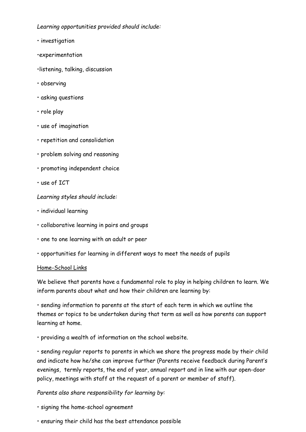*Learning opportunities provided should include:* 

- investigation
- •experimentation
- •listening, talking, discussion
- observing
- asking questions
- role play
- use of imagination
- repetition and consolidation
- problem solving and reasoning
- promoting independent choice
- use of ICT

*Learning styles should include:*

- individual learning
- collaborative learning in pairs and groups
- one to one learning with an adult or peer
- opportunities for learning in different ways to meet the needs of pupils

## Home-School Links

We believe that parents have a fundamental role to play in helping children to learn. We inform parents about what and how their children are learning by:

• sending information to parents at the start of each term in which we outline the themes or topics to be undertaken during that term as well as how parents can support learning at home.

• providing a wealth of information on the school website.

• sending regular reports to parents in which we share the progress made by their child and indicate how he/she can improve further (Parents receive feedback during Parent's evenings, termly reports, the end of year, annual report and in line with our open-door policy, meetings with staff at the request of a parent or member of staff).

## *Parents also share responsibility for learning by:*

- signing the home-school agreement
- ensuring their child has the best attendance possible